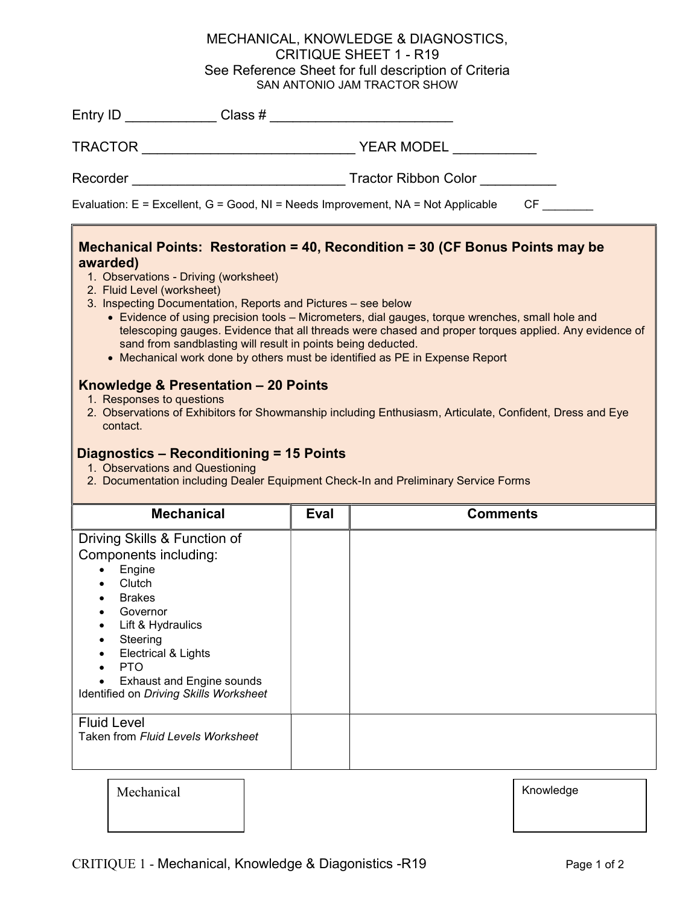## MECHANICAL, KNOWLEDGE & DIAGNOSTICS, CRITIQUE SHEET 1 - R19 See Reference Sheet for full description of Criteria SAN ANTONIO JAM TRACTOR SHOW

| Entry ID                                                                               | Class $#$                                                                                                                                  |  |  |  |
|----------------------------------------------------------------------------------------|--------------------------------------------------------------------------------------------------------------------------------------------|--|--|--|
| TRACTOR                                                                                | YEAR MODEL                                                                                                                                 |  |  |  |
| Recorder                                                                               | Tractor Ribbon Color                                                                                                                       |  |  |  |
| Evaluation: E = Excellent, G = Good, NI = Needs Improvement, NA = Not Applicable<br>CF |                                                                                                                                            |  |  |  |
| awarded)<br>1. Observations - Driving (worksheet)<br>2. Fluid Level (worksheet)        | Mechanical Points: Restoration = 40, Recondition = 30 (CF Bonus Points may be<br>3 Inconcting Documentation Penerts and Pictures see below |  |  |  |

- 3. Inspecting Documentation, Reports and Pictures see below
	- Evidence of using precision tools Micrometers, dial gauges, torque wrenches, small hole and telescoping gauges. Evidence that all threads were chased and proper torques applied. Any evidence of sand from sandblasting will result in points being deducted.
	- Mechanical work done by others must be identified as PE in Expense Report

## Knowledge & Presentation – 20 Points

- 1. Responses to questions
- 2. Observations of Exhibitors for Showmanship including Enthusiasm, Articulate, Confident, Dress and Eye contact.

## Diagnostics – Reconditioning = 15 Points

- 1. Observations and Questioning
- 2. Documentation including Dealer Equipment Check-In and Preliminary Service Forms

| <b>Mechanical</b>                                                                                                                                                                                                                                                                               | Eval | <b>Comments</b> |
|-------------------------------------------------------------------------------------------------------------------------------------------------------------------------------------------------------------------------------------------------------------------------------------------------|------|-----------------|
| Driving Skills & Function of<br>Components including:<br>Engine<br>Clutch<br><b>Brakes</b><br>٠<br>Governor<br>Lift & Hydraulics<br>$\bullet$<br>Steering<br>Electrical & Lights<br>$\bullet$<br>PTO<br>$\bullet$<br><b>Exhaust and Engine sounds</b><br>Identified on Driving Skills Worksheet |      |                 |
| <b>Fluid Level</b><br>Taken from Fluid Levels Worksheet                                                                                                                                                                                                                                         |      |                 |
| Mechanical                                                                                                                                                                                                                                                                                      |      | Knowledge       |